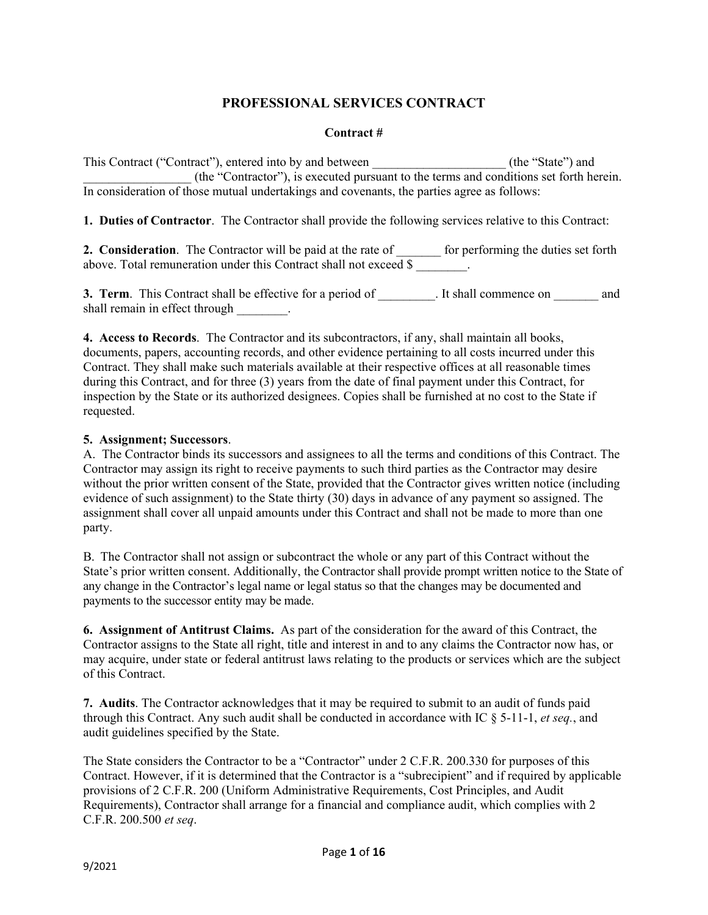# **PROFESSIONAL SERVICES CONTRACT**

#### **Contract #**

This Contract ("Contract"), entered into by and between (the "State") and \_\_\_\_\_\_\_\_\_\_\_\_\_\_\_\_\_ (the "Contractor"), is executed pursuant to the terms and conditions set forth herein. In consideration of those mutual undertakings and covenants, the parties agree as follows:

**1. Duties of Contractor**. The Contractor shall provide the following services relative to this Contract:

**2. Consideration**. The Contractor will be paid at the rate of \_\_\_\_\_\_\_ for performing the duties set forth above. Total remuneration under this Contract shall not exceed \$

**3. Term**. This Contract shall be effective for a period of  $\qquad \qquad$  It shall commence on  $\qquad \qquad$  and shall remain in effect through  $\qquad \qquad$ .

**4. Access to Records**. The Contractor and its subcontractors, if any, shall maintain all books, documents, papers, accounting records, and other evidence pertaining to all costs incurred under this Contract. They shall make such materials available at their respective offices at all reasonable times during this Contract, and for three (3) years from the date of final payment under this Contract, for inspection by the State or its authorized designees. Copies shall be furnished at no cost to the State if requested.

#### **5. Assignment; Successors**.

A. The Contractor binds its successors and assignees to all the terms and conditions of this Contract. The Contractor may assign its right to receive payments to such third parties as the Contractor may desire without the prior written consent of the State, provided that the Contractor gives written notice (including evidence of such assignment) to the State thirty (30) days in advance of any payment so assigned. The assignment shall cover all unpaid amounts under this Contract and shall not be made to more than one party.

B. The Contractor shall not assign or subcontract the whole or any part of this Contract without the State's prior written consent. Additionally, the Contractor shall provide prompt written notice to the State of any change in the Contractor's legal name or legal status so that the changes may be documented and payments to the successor entity may be made.

**6. Assignment of Antitrust Claims.** As part of the consideration for the award of this Contract, the Contractor assigns to the State all right, title and interest in and to any claims the Contractor now has, or may acquire, under state or federal antitrust laws relating to the products or services which are the subject of this Contract.

**7. Audits**. The Contractor acknowledges that it may be required to submit to an audit of funds paid through this Contract. Any such audit shall be conducted in accordance with IC § 5-11-1, *et seq.*, and audit guidelines specified by the State.

The State considers the Contractor to be a "Contractor" under 2 C.F.R. 200.330 for purposes of this Contract. However, if it is determined that the Contractor is a "subrecipient" and if required by applicable provisions of 2 C.F.R. 200 (Uniform Administrative Requirements, Cost Principles, and Audit Requirements), Contractor shall arrange for a financial and compliance audit, which complies with 2 C.F.R. 200.500 *et seq*.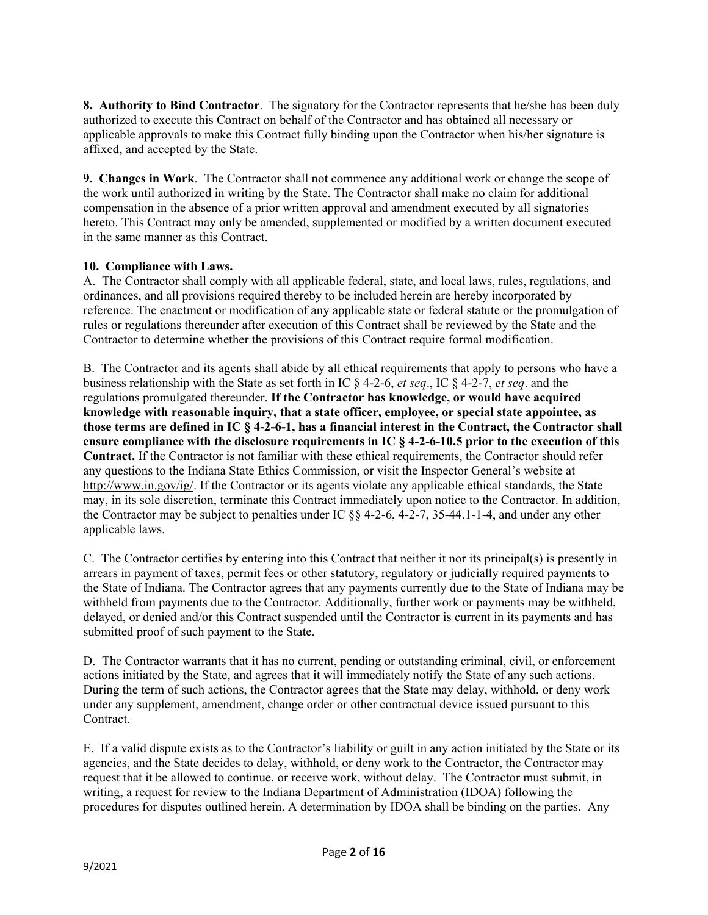**8. Authority to Bind Contractor**. The signatory for the Contractor represents that he/she has been duly authorized to execute this Contract on behalf of the Contractor and has obtained all necessary or applicable approvals to make this Contract fully binding upon the Contractor when his/her signature is affixed, and accepted by the State.

**9. Changes in Work**. The Contractor shall not commence any additional work or change the scope of the work until authorized in writing by the State. The Contractor shall make no claim for additional compensation in the absence of a prior written approval and amendment executed by all signatories hereto. This Contract may only be amended, supplemented or modified by a written document executed in the same manner as this Contract.

## **10. Compliance with Laws.**

A. The Contractor shall comply with all applicable federal, state, and local laws, rules, regulations, and ordinances, and all provisions required thereby to be included herein are hereby incorporated by reference. The enactment or modification of any applicable state or federal statute or the promulgation of rules or regulations thereunder after execution of this Contract shall be reviewed by the State and the Contractor to determine whether the provisions of this Contract require formal modification.

B. The Contractor and its agents shall abide by all ethical requirements that apply to persons who have a business relationship with the State as set forth in IC § 4-2-6, *et seq*., IC § 4-2-7, *et seq*. and the regulations promulgated thereunder. **If the Contractor has knowledge, or would have acquired knowledge with reasonable inquiry, that a state officer, employee, or special state appointee, as those terms are defined in IC § 4-2-6-1, has a financial interest in the Contract, the Contractor shall ensure compliance with the disclosure requirements in IC § 4-2-6-10.5 prior to the execution of this Contract.** If the Contractor is not familiar with these ethical requirements, the Contractor should refer any questions to the Indiana State Ethics Commission, or visit the Inspector General's website at [http://www.in.gov/ig/.](http://www.in.gov/ig/) If the Contractor or its agents violate any applicable ethical standards, the State may, in its sole discretion, terminate this Contract immediately upon notice to the Contractor. In addition, the Contractor may be subject to penalties under IC §§ 4-2-6, 4-2-7, 35-44.1-1-4, and under any other applicable laws.

C. The Contractor certifies by entering into this Contract that neither it nor its principal(s) is presently in arrears in payment of taxes, permit fees or other statutory, regulatory or judicially required payments to the State of Indiana. The Contractor agrees that any payments currently due to the State of Indiana may be withheld from payments due to the Contractor. Additionally, further work or payments may be withheld, delayed, or denied and/or this Contract suspended until the Contractor is current in its payments and has submitted proof of such payment to the State.

D. The Contractor warrants that it has no current, pending or outstanding criminal, civil, or enforcement actions initiated by the State, and agrees that it will immediately notify the State of any such actions. During the term of such actions, the Contractor agrees that the State may delay, withhold, or deny work under any supplement, amendment, change order or other contractual device issued pursuant to this Contract.

E. If a valid dispute exists as to the Contractor's liability or guilt in any action initiated by the State or its agencies, and the State decides to delay, withhold, or deny work to the Contractor, the Contractor may request that it be allowed to continue, or receive work, without delay. The Contractor must submit, in writing, a request for review to the Indiana Department of Administration (IDOA) following the procedures for disputes outlined herein. A determination by IDOA shall be binding on the parties. Any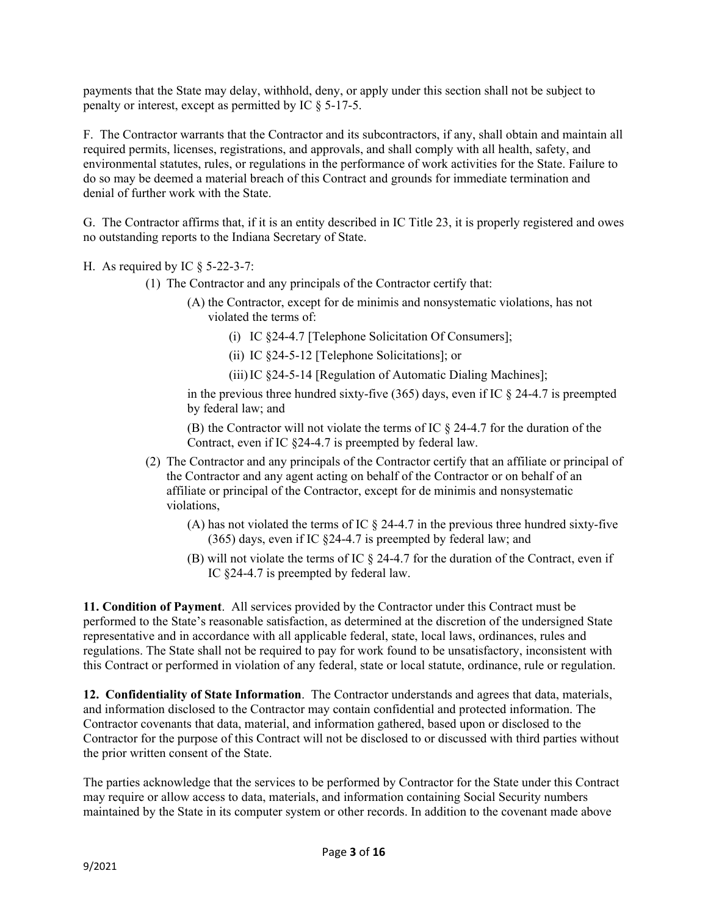payments that the State may delay, withhold, deny, or apply under this section shall not be subject to penalty or interest, except as permitted by IC § 5-17-5.

F. The Contractor warrants that the Contractor and its subcontractors, if any, shall obtain and maintain all required permits, licenses, registrations, and approvals, and shall comply with all health, safety, and environmental statutes, rules, or regulations in the performance of work activities for the State. Failure to do so may be deemed a material breach of this Contract and grounds for immediate termination and denial of further work with the State.

G. The Contractor affirms that, if it is an entity described in IC Title 23, it is properly registered and owes no outstanding reports to the Indiana Secretary of State.

- H. As required by IC § 5-22-3-7:
	- (1) The Contractor and any principals of the Contractor certify that:
		- (A) the Contractor, except for de minimis and nonsystematic violations, has not violated the terms of:
			- (i) IC §24-4.7 [Telephone Solicitation Of Consumers];
			- (ii) IC §24-5-12 [Telephone Solicitations]; or
			- (iii)IC §24-5-14 [Regulation of Automatic Dialing Machines];

in the previous three hundred sixty-five  $(365)$  days, even if IC § 24-4.7 is preempted by federal law; and

(B) the Contractor will not violate the terms of IC § 24-4.7 for the duration of the Contract, even if IC §24-4.7 is preempted by federal law.

- (2) The Contractor and any principals of the Contractor certify that an affiliate or principal of the Contractor and any agent acting on behalf of the Contractor or on behalf of an affiliate or principal of the Contractor, except for de minimis and nonsystematic violations,
	- (A) has not violated the terms of IC § 24-4.7 in the previous three hundred sixty-five (365) days, even if IC §24-4.7 is preempted by federal law; and
	- (B) will not violate the terms of IC § 24-4.7 for the duration of the Contract, even if IC §24-4.7 is preempted by federal law.

**11. Condition of Payment**. All services provided by the Contractor under this Contract must be performed to the State's reasonable satisfaction, as determined at the discretion of the undersigned State representative and in accordance with all applicable federal, state, local laws, ordinances, rules and regulations. The State shall not be required to pay for work found to be unsatisfactory, inconsistent with this Contract or performed in violation of any federal, state or local statute, ordinance, rule or regulation.

**12. Confidentiality of State Information**. The Contractor understands and agrees that data, materials, and information disclosed to the Contractor may contain confidential and protected information. The Contractor covenants that data, material, and information gathered, based upon or disclosed to the Contractor for the purpose of this Contract will not be disclosed to or discussed with third parties without the prior written consent of the State.

The parties acknowledge that the services to be performed by Contractor for the State under this Contract may require or allow access to data, materials, and information containing Social Security numbers maintained by the State in its computer system or other records. In addition to the covenant made above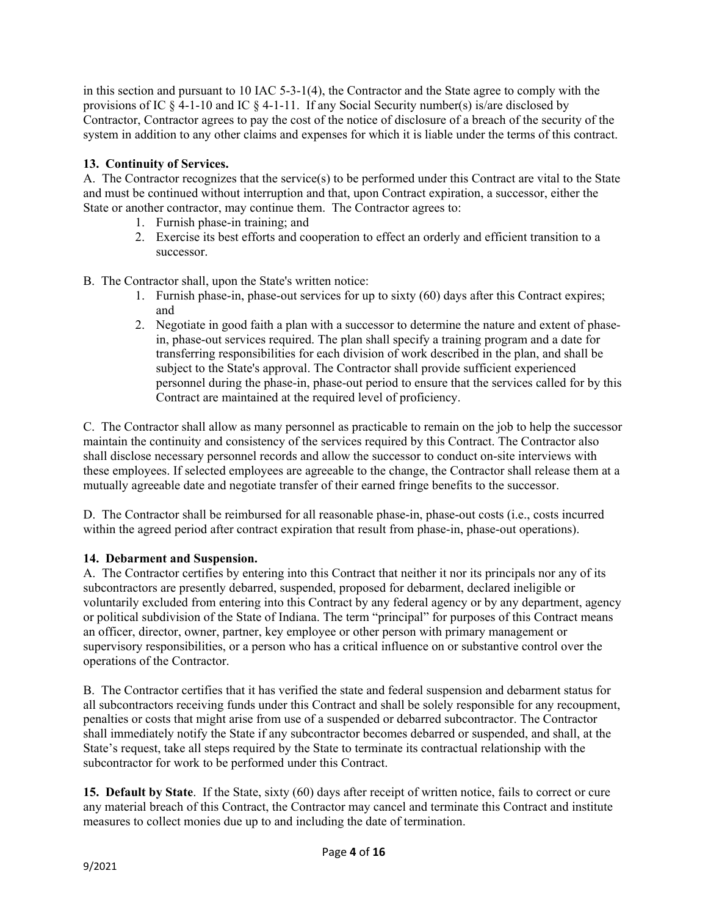in this section and pursuant to 10 IAC 5-3-1(4), the Contractor and the State agree to comply with the provisions of IC § 4-1-10 and IC § 4-1-11. If any Social Security number(s) is/are disclosed by Contractor, Contractor agrees to pay the cost of the notice of disclosure of a breach of the security of the system in addition to any other claims and expenses for which it is liable under the terms of this contract.

## **13. Continuity of Services.**

A. The Contractor recognizes that the service(s) to be performed under this Contract are vital to the State and must be continued without interruption and that, upon Contract expiration, a successor, either the State or another contractor, may continue them. The Contractor agrees to:

- 1. Furnish phase-in training; and
- 2. Exercise its best efforts and cooperation to effect an orderly and efficient transition to a successor.

B. The Contractor shall, upon the State's written notice:

- 1. Furnish phase-in, phase-out services for up to sixty (60) days after this Contract expires; and
- 2. Negotiate in good faith a plan with a successor to determine the nature and extent of phasein, phase-out services required. The plan shall specify a training program and a date for transferring responsibilities for each division of work described in the plan, and shall be subject to the State's approval. The Contractor shall provide sufficient experienced personnel during the phase-in, phase-out period to ensure that the services called for by this Contract are maintained at the required level of proficiency.

C. The Contractor shall allow as many personnel as practicable to remain on the job to help the successor maintain the continuity and consistency of the services required by this Contract. The Contractor also shall disclose necessary personnel records and allow the successor to conduct on-site interviews with these employees. If selected employees are agreeable to the change, the Contractor shall release them at a mutually agreeable date and negotiate transfer of their earned fringe benefits to the successor.

D. The Contractor shall be reimbursed for all reasonable phase-in, phase-out costs (i.e., costs incurred within the agreed period after contract expiration that result from phase-in, phase-out operations).

### **14. Debarment and Suspension.**

A. The Contractor certifies by entering into this Contract that neither it nor its principals nor any of its subcontractors are presently debarred, suspended, proposed for debarment, declared ineligible or voluntarily excluded from entering into this Contract by any federal agency or by any department, agency or political subdivision of the State of Indiana. The term "principal" for purposes of this Contract means an officer, director, owner, partner, key employee or other person with primary management or supervisory responsibilities, or a person who has a critical influence on or substantive control over the operations of the Contractor.

B. The Contractor certifies that it has verified the state and federal suspension and debarment status for all subcontractors receiving funds under this Contract and shall be solely responsible for any recoupment, penalties or costs that might arise from use of a suspended or debarred subcontractor. The Contractor shall immediately notify the State if any subcontractor becomes debarred or suspended, and shall, at the State's request, take all steps required by the State to terminate its contractual relationship with the subcontractor for work to be performed under this Contract.

**15. Default by State**. If the State, sixty (60) days after receipt of written notice, fails to correct or cure any material breach of this Contract, the Contractor may cancel and terminate this Contract and institute measures to collect monies due up to and including the date of termination.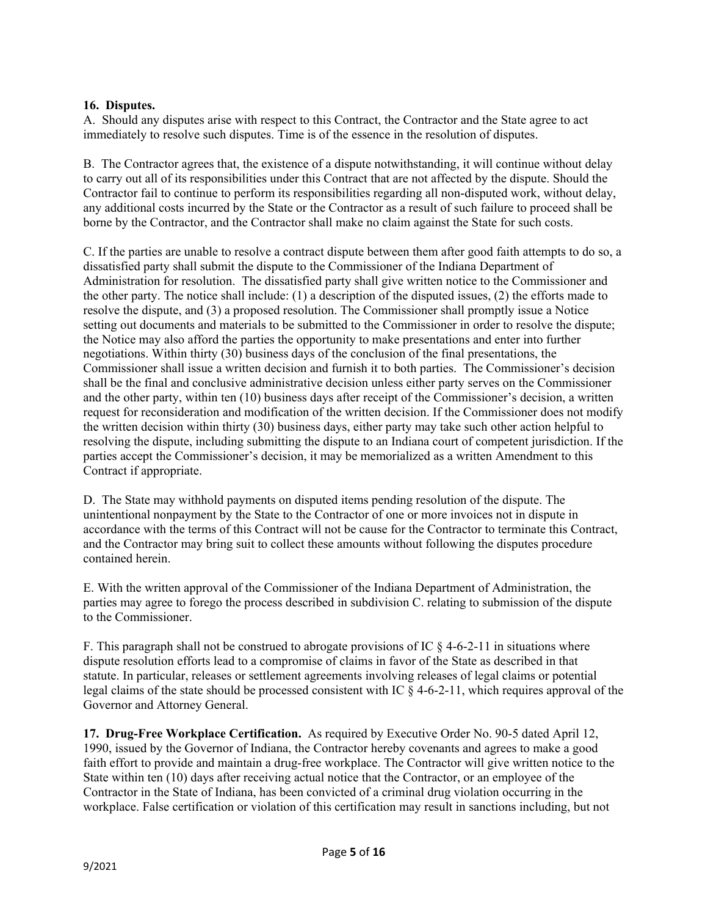#### **16. Disputes.**

A. Should any disputes arise with respect to this Contract, the Contractor and the State agree to act immediately to resolve such disputes. Time is of the essence in the resolution of disputes.

B. The Contractor agrees that, the existence of a dispute notwithstanding, it will continue without delay to carry out all of its responsibilities under this Contract that are not affected by the dispute. Should the Contractor fail to continue to perform its responsibilities regarding all non-disputed work, without delay, any additional costs incurred by the State or the Contractor as a result of such failure to proceed shall be borne by the Contractor, and the Contractor shall make no claim against the State for such costs.

C. If the parties are unable to resolve a contract dispute between them after good faith attempts to do so, a dissatisfied party shall submit the dispute to the Commissioner of the Indiana Department of Administration for resolution. The dissatisfied party shall give written notice to the Commissioner and the other party. The notice shall include: (1) a description of the disputed issues, (2) the efforts made to resolve the dispute, and (3) a proposed resolution. The Commissioner shall promptly issue a Notice setting out documents and materials to be submitted to the Commissioner in order to resolve the dispute; the Notice may also afford the parties the opportunity to make presentations and enter into further negotiations. Within thirty (30) business days of the conclusion of the final presentations, the Commissioner shall issue a written decision and furnish it to both parties. The Commissioner's decision shall be the final and conclusive administrative decision unless either party serves on the Commissioner and the other party, within ten (10) business days after receipt of the Commissioner's decision, a written request for reconsideration and modification of the written decision. If the Commissioner does not modify the written decision within thirty (30) business days, either party may take such other action helpful to resolving the dispute, including submitting the dispute to an Indiana court of competent jurisdiction. If the parties accept the Commissioner's decision, it may be memorialized as a written Amendment to this Contract if appropriate.

D. The State may withhold payments on disputed items pending resolution of the dispute. The unintentional nonpayment by the State to the Contractor of one or more invoices not in dispute in accordance with the terms of this Contract will not be cause for the Contractor to terminate this Contract, and the Contractor may bring suit to collect these amounts without following the disputes procedure contained herein.

E. With the written approval of the Commissioner of the Indiana Department of Administration, the parties may agree to forego the process described in subdivision C. relating to submission of the dispute to the Commissioner.

F. This paragraph shall not be construed to abrogate provisions of IC  $\S$  4-6-2-11 in situations where dispute resolution efforts lead to a compromise of claims in favor of the State as described in that statute. In particular, releases or settlement agreements involving releases of legal claims or potential legal claims of the state should be processed consistent with IC § 4-6-2-11, which requires approval of the Governor and Attorney General.

**17. Drug-Free Workplace Certification.** As required by Executive Order No. 90-5 dated April 12, 1990, issued by the Governor of Indiana, the Contractor hereby covenants and agrees to make a good faith effort to provide and maintain a drug-free workplace. The Contractor will give written notice to the State within ten (10) days after receiving actual notice that the Contractor, or an employee of the Contractor in the State of Indiana, has been convicted of a criminal drug violation occurring in the workplace. False certification or violation of this certification may result in sanctions including, but not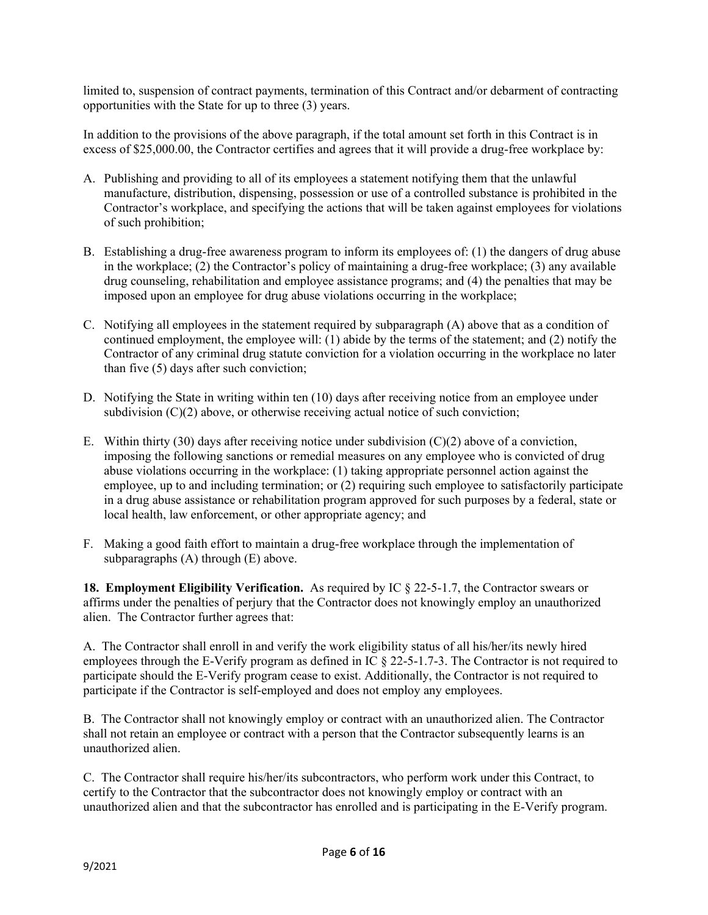limited to, suspension of contract payments, termination of this Contract and/or debarment of contracting opportunities with the State for up to three (3) years.

In addition to the provisions of the above paragraph, if the total amount set forth in this Contract is in excess of \$25,000.00, the Contractor certifies and agrees that it will provide a drug-free workplace by:

- A. Publishing and providing to all of its employees a statement notifying them that the unlawful manufacture, distribution, dispensing, possession or use of a controlled substance is prohibited in the Contractor's workplace, and specifying the actions that will be taken against employees for violations of such prohibition;
- B. Establishing a drug-free awareness program to inform its employees of: (1) the dangers of drug abuse in the workplace; (2) the Contractor's policy of maintaining a drug-free workplace; (3) any available drug counseling, rehabilitation and employee assistance programs; and (4) the penalties that may be imposed upon an employee for drug abuse violations occurring in the workplace;
- C. Notifying all employees in the statement required by subparagraph (A) above that as a condition of continued employment, the employee will: (1) abide by the terms of the statement; and (2) notify the Contractor of any criminal drug statute conviction for a violation occurring in the workplace no later than five (5) days after such conviction;
- D. Notifying the State in writing within ten (10) days after receiving notice from an employee under subdivision (C)(2) above, or otherwise receiving actual notice of such conviction;
- E. Within thirty (30) days after receiving notice under subdivision  $(C)(2)$  above of a conviction, imposing the following sanctions or remedial measures on any employee who is convicted of drug abuse violations occurring in the workplace: (1) taking appropriate personnel action against the employee, up to and including termination; or (2) requiring such employee to satisfactorily participate in a drug abuse assistance or rehabilitation program approved for such purposes by a federal, state or local health, law enforcement, or other appropriate agency; and
- F. Making a good faith effort to maintain a drug-free workplace through the implementation of subparagraphs (A) through (E) above.

**18. Employment Eligibility Verification.** As required by IC § 22-5-1.7, the Contractor swears or affirms under the penalties of perjury that the Contractor does not knowingly employ an unauthorized alien. The Contractor further agrees that:

A. The Contractor shall enroll in and verify the work eligibility status of all his/her/its newly hired employees through the E-Verify program as defined in IC § 22-5-1.7-3. The Contractor is not required to participate should the E-Verify program cease to exist. Additionally, the Contractor is not required to participate if the Contractor is self-employed and does not employ any employees.

B. The Contractor shall not knowingly employ or contract with an unauthorized alien. The Contractor shall not retain an employee or contract with a person that the Contractor subsequently learns is an unauthorized alien.

C. The Contractor shall require his/her/its subcontractors, who perform work under this Contract, to certify to the Contractor that the subcontractor does not knowingly employ or contract with an unauthorized alien and that the subcontractor has enrolled and is participating in the E-Verify program.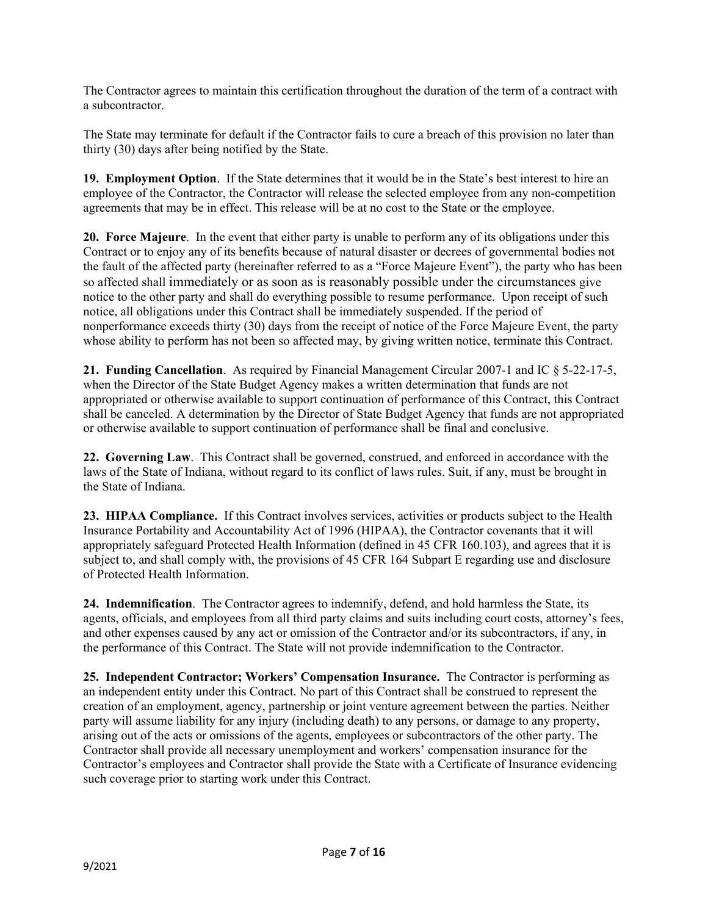The Contractor agrees to maintain this certification throughout the duration of the term of a contract with a subcontractor.

The State may terminate for default if the Contractor fails to cure a breach of this provision no later than thirty (30) days after being notified by the State.

**19. Employment Option**. If the State determines that it would be in the State's best interest to hire an employee of the Contractor, the Contractor will release the selected employee from any non-competition agreements that may be in effect. This release will be at no cost to the State or the employee.

**20. Force Majeure**. In the event that either party is unable to perform any of its obligations under this Contract or to enjoy any of its benefits because of natural disaster or decrees of governmental bodies not the fault of the affected party (hereinafter referred to as a "Force Majeure Event"), the party who has been so affected shall immediately or as soon as is reasonably possible under the circumstances give notice to the other party and shall do everything possible to resume performance. Upon receipt of such notice, all obligations under this Contract shall be immediately suspended. If the period of nonperformance exceeds thirty (30) days from the receipt of notice of the Force Majeure Event, the party whose ability to perform has not been so affected may, by giving written notice, terminate this Contract.

**21. Funding Cancellation**. As required by Financial Management Circular 2007-1 and IC § 5-22-17-5, when the Director of the State Budget Agency makes a written determination that funds are not appropriated or otherwise available to support continuation of performance of this Contract, this Contract shall be canceled. A determination by the Director of State Budget Agency that funds are not appropriated or otherwise available to support continuation of performance shall be final and conclusive.

**22. Governing Law**. This Contract shall be governed, construed, and enforced in accordance with the laws of the State of Indiana, without regard to its conflict of laws rules. Suit, if any, must be brought in the State of Indiana.

**23. HIPAA Compliance.** If this Contract involves services, activities or products subject to the Health Insurance Portability and Accountability Act of 1996 (HIPAA), the Contractor covenants that it will appropriately safeguard Protected Health Information (defined in 45 CFR 160.103), and agrees that it is subject to, and shall comply with, the provisions of 45 CFR 164 Subpart E regarding use and disclosure of Protected Health Information.

**24. Indemnification**. The Contractor agrees to indemnify, defend, and hold harmless the State, its agents, officials, and employees from all third party claims and suits including court costs, attorney's fees, and other expenses caused by any act or omission of the Contractor and/or its subcontractors, if any, in the performance of this Contract. The State will not provide indemnification to the Contractor.

**25. Independent Contractor; Workers' Compensation Insurance.** The Contractor is performing as an independent entity under this Contract. No part of this Contract shall be construed to represent the creation of an employment, agency, partnership or joint venture agreement between the parties. Neither party will assume liability for any injury (including death) to any persons, or damage to any property, arising out of the acts or omissions of the agents, employees or subcontractors of the other party. The Contractor shall provide all necessary unemployment and workers' compensation insurance for the Contractor's employees and Contractor shall provide the State with a Certificate of Insurance evidencing such coverage prior to starting work under this Contract.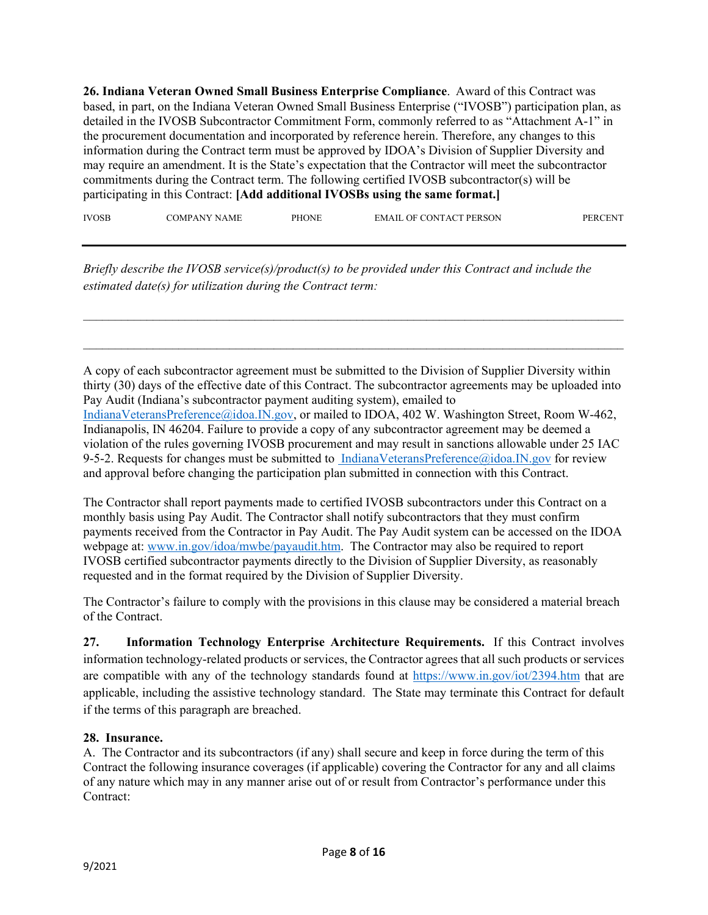**26. Indiana Veteran Owned Small Business Enterprise Compliance**. Award of this Contract was based, in part, on the Indiana Veteran Owned Small Business Enterprise ("IVOSB") participation plan, as detailed in the IVOSB Subcontractor Commitment Form, commonly referred to as "Attachment A-1" in the procurement documentation and incorporated by reference herein. Therefore, any changes to this information during the Contract term must be approved by IDOA's Division of Supplier Diversity and may require an amendment. It is the State's expectation that the Contractor will meet the subcontractor commitments during the Contract term. The following certified IVOSB subcontractor(s) will be participating in this Contract: **[Add additional IVOSBs using the same format.]**

IVOSB COMPANY NAME PHONE EMAIL OF CONTACT PERSON PERCENT

*\_\_\_\_\_\_\_\_\_\_\_\_\_\_\_\_\_\_\_\_\_\_\_\_\_\_\_\_\_\_\_\_\_\_\_\_\_\_\_\_\_\_\_\_\_\_\_\_\_\_\_\_\_\_\_\_\_\_\_\_\_\_\_\_\_\_\_\_\_\_\_\_\_\_\_\_\_\_\_\_\_\_\_\_\_*

*\_\_\_\_\_\_\_\_\_\_\_\_\_\_\_\_\_\_\_\_\_\_\_\_\_\_\_\_\_\_\_\_\_\_\_\_\_\_\_\_\_\_\_\_\_\_\_\_\_\_\_\_\_\_\_\_\_\_\_\_\_\_\_\_\_\_\_\_\_\_\_\_\_\_\_\_\_\_\_\_\_\_\_\_\_*

*Briefly describe the IVOSB service(s)/product(s) to be provided under this Contract and include the estimated date(s) for utilization during the Contract term:* 

A copy of each subcontractor agreement must be submitted to the Division of Supplier Diversity within thirty (30) days of the effective date of this Contract. The subcontractor agreements may be uploaded into Pay Audit (Indiana's subcontractor payment auditing system), emailed to [IndianaVeteransPreference@idoa.IN.gov,](mailto:IndianaVeteransPreference@idoa.IN.gov) or mailed to IDOA, 402 W. Washington Street, Room W-462, Indianapolis, IN 46204. Failure to provide a copy of any subcontractor agreement may be deemed a violation of the rules governing IVOSB procurement and may result in sanctions allowable under 25 IAC 9-5-2. Requests for changes must be submitted to [IndianaVeteransPreference@idoa.IN.gov](mailto:Indianaveteranspreference@idoa.IN.gov) for review and approval before changing the participation plan submitted in connection with this Contract.

The Contractor shall report payments made to certified IVOSB subcontractors under this Contract on a monthly basis using Pay Audit. The Contractor shall notify subcontractors that they must confirm payments received from the Contractor in Pay Audit. The Pay Audit system can be accessed on the IDOA webpage at: [www.in.gov/idoa/mwbe/payaudit.htm.](http://www.in.gov/idoa/mwbe/payaudit.htm) The Contractor may also be required to report IVOSB certified subcontractor payments directly to the Division of Supplier Diversity, as reasonably requested and in the format required by the Division of Supplier Diversity.

The Contractor's failure to comply with the provisions in this clause may be considered a material breach of the Contract.

**27. Information Technology Enterprise Architecture Requirements.** If this Contract involves information technology-related products or services, the Contractor agrees that all such products or services are compatible with any of the technology standards found at<https://www.in.gov/iot/2394.htm> that are applicable, including the assistive technology standard. The State may terminate this Contract for default if the terms of this paragraph are breached.

### **28. Insurance.**

A. The Contractor and its subcontractors (if any) shall secure and keep in force during the term of this Contract the following insurance coverages (if applicable) covering the Contractor for any and all claims of any nature which may in any manner arise out of or result from Contractor's performance under this Contract: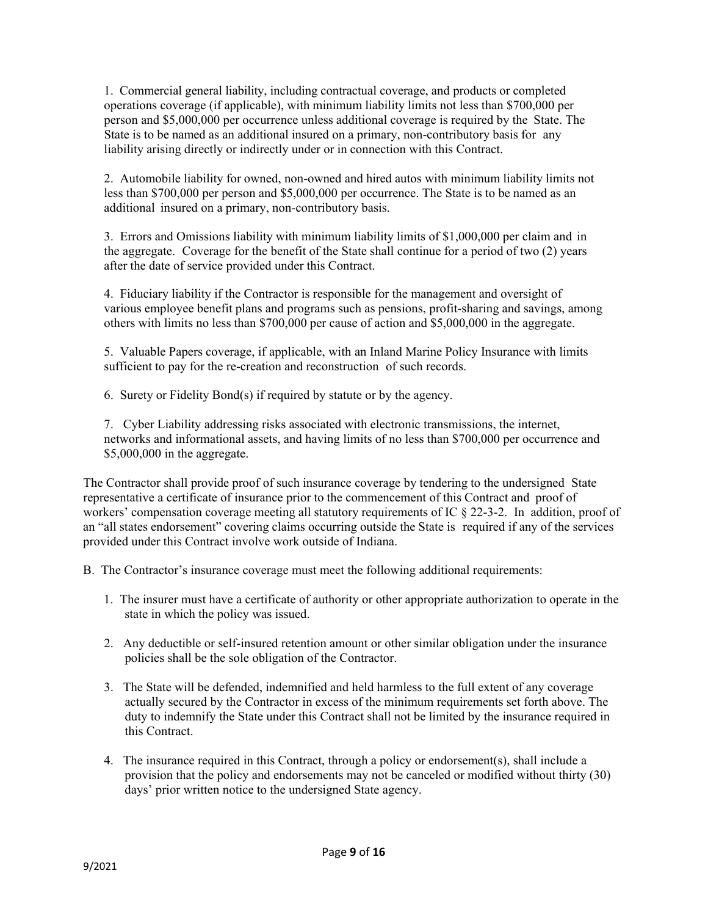1. Commercial general liability, including contractual coverage, and products or completed operations coverage (if applicable), with minimum liability limits not less than \$700,000 per person and \$5,000,000 per occurrence unless additional coverage is required by the State. The State is to be named as an additional insured on a primary, non-contributory basis for any liability arising directly or indirectly under or in connection with this Contract.

2. Automobile liability for owned, non-owned and hired autos with minimum liability limits not less than \$700,000 per person and \$5,000,000 per occurrence. The State is to be named as an additional insured on a primary, non-contributory basis.

3. Errors and Omissions liability with minimum liability limits of \$1,000,000 per claim and in the aggregate. Coverage for the benefit of the State shall continue for a period of two (2) years after the date of service provided under this Contract.

4. Fiduciary liability if the Contractor is responsible for the management and oversight of various employee benefit plans and programs such as pensions, profit-sharing and savings, among others with limits no less than \$700,000 per cause of action and \$5,000,000 in the aggregate.

5. Valuable Papers coverage, if applicable, with an Inland Marine Policy Insurance with limits sufficient to pay for the re-creation and reconstruction of such records.

6. Surety or Fidelity Bond(s) if required by statute or by the agency.

7. Cyber Liability addressing risks associated with electronic transmissions, the internet, networks and informational assets, and having limits of no less than \$700,000 per occurrence and \$5,000,000 in the aggregate.

The Contractor shall provide proof of such insurance coverage by tendering to the undersigned State representative a certificate of insurance prior to the commencement of this Contract and proof of workers' compensation coverage meeting all statutory requirements of IC § 22-3-2. In addition, proof of an "all states endorsement" covering claims occurring outside the State is required if any of the services provided under this Contract involve work outside of Indiana.

B. The Contractor's insurance coverage must meet the following additional requirements:

- 1. The insurer must have a certificate of authority or other appropriate authorization to operate in the state in which the policy was issued.
- 2. Any deductible or self-insured retention amount or other similar obligation under the insurance policies shall be the sole obligation of the Contractor.
- 3. The State will be defended, indemnified and held harmless to the full extent of any coverage actually secured by the Contractor in excess of the minimum requirements set forth above. The duty to indemnify the State under this Contract shall not be limited by the insurance required in this Contract.
- 4. The insurance required in this Contract, through a policy or endorsement(s), shall include a provision that the policy and endorsements may not be canceled or modified without thirty (30) days' prior written notice to the undersigned State agency.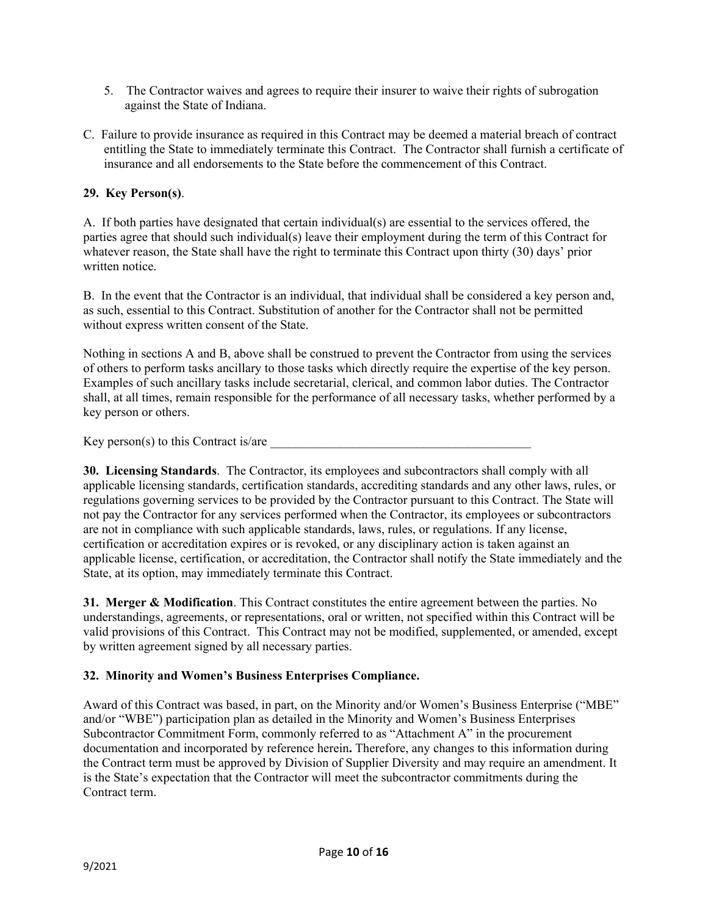- 5. The Contractor waives and agrees to require their insurer to waive their rights of subrogation against the State of Indiana.
- C. Failure to provide insurance as required in this Contract may be deemed a material breach of contract entitling the State to immediately terminate this Contract. The Contractor shall furnish a certificate of insurance and all endorsements to the State before the commencement of this Contract.

## **29. Key Person(s)**.

A. If both parties have designated that certain individual(s) are essential to the services offered, the parties agree that should such individual(s) leave their employment during the term of this Contract for whatever reason, the State shall have the right to terminate this Contract upon thirty (30) days' prior written notice.

B. In the event that the Contractor is an individual, that individual shall be considered a key person and, as such, essential to this Contract. Substitution of another for the Contractor shall not be permitted without express written consent of the State.

Nothing in sections A and B, above shall be construed to prevent the Contractor from using the services of others to perform tasks ancillary to those tasks which directly require the expertise of the key person. Examples of such ancillary tasks include secretarial, clerical, and common labor duties. The Contractor shall, at all times, remain responsible for the performance of all necessary tasks, whether performed by a key person or others.

Key person(s) to this Contract is/are

**30. Licensing Standards**. The Contractor, its employees and subcontractors shall comply with all applicable licensing standards, certification standards, accrediting standards and any other laws, rules, or regulations governing services to be provided by the Contractor pursuant to this Contract. The State will not pay the Contractor for any services performed when the Contractor, its employees or subcontractors are not in compliance with such applicable standards, laws, rules, or regulations. If any license, certification or accreditation expires or is revoked, or any disciplinary action is taken against an applicable license, certification, or accreditation, the Contractor shall notify the State immediately and the State, at its option, may immediately terminate this Contract.

**31. Merger & Modification**. This Contract constitutes the entire agreement between the parties. No understandings, agreements, or representations, oral or written, not specified within this Contract will be valid provisions of this Contract. This Contract may not be modified, supplemented, or amended, except by written agreement signed by all necessary parties.

### **32. Minority and Women's Business Enterprises Compliance.**

Award of this Contract was based, in part, on the Minority and/or Women's Business Enterprise ("MBE" and/or "WBE") participation plan as detailed in the Minority and Women's Business Enterprises Subcontractor Commitment Form, commonly referred to as "Attachment A" in the procurement documentation and incorporated by reference herein**.** Therefore, any changes to this information during the Contract term must be approved by Division of Supplier Diversity and may require an amendment. It is the State's expectation that the Contractor will meet the subcontractor commitments during the Contract term.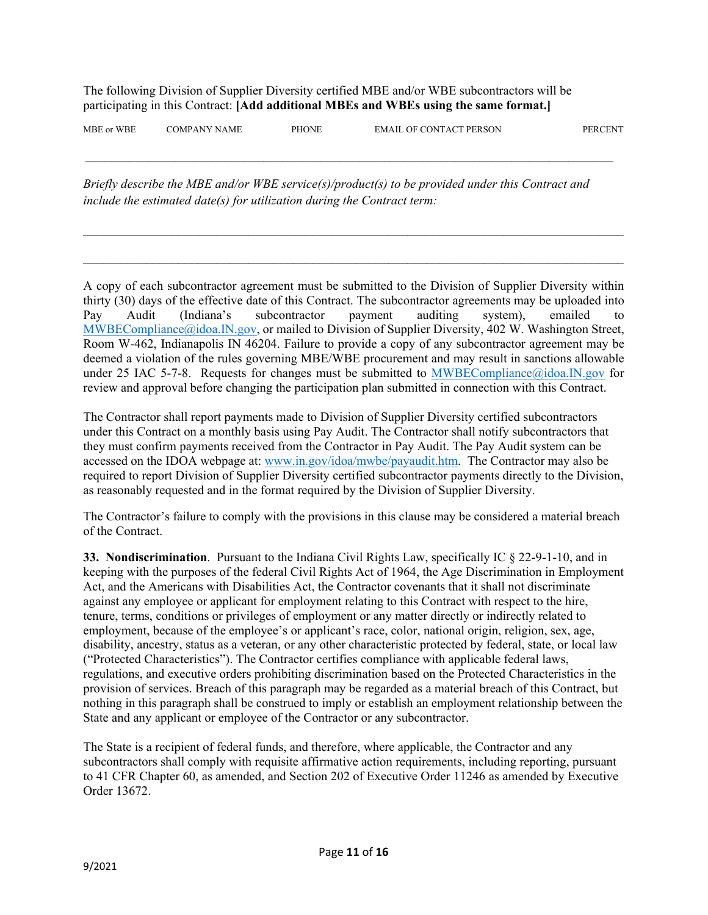The following Division of Supplier Diversity certified MBE and/or WBE subcontractors will be participating in this Contract: **[Add additional MBEs and WBEs using the same format.]**

| MBE or<br>WBE | $\bigcap \text{MPANY}$<br>N | PHOY<br>ΙN | . OF CONTACT PERSON<br>EMAIL. | PERI<br>ъN |
|---------------|-----------------------------|------------|-------------------------------|------------|
|               |                             |            |                               |            |

*\_\_\_\_\_\_\_\_\_\_\_\_\_\_\_\_\_\_\_\_\_\_\_\_\_\_\_\_\_\_\_\_\_\_\_\_\_\_\_\_\_\_\_\_\_\_\_\_\_\_\_\_\_\_\_\_\_\_\_\_\_\_\_\_\_\_\_\_\_\_\_\_\_\_\_\_\_\_\_\_\_\_\_*

*\_\_\_\_\_\_\_\_\_\_\_\_\_\_\_\_\_\_\_\_\_\_\_\_\_\_\_\_\_\_\_\_\_\_\_\_\_\_\_\_\_\_\_\_\_\_\_\_\_\_\_\_\_\_\_\_\_\_\_\_\_\_\_\_\_\_\_\_\_\_\_\_\_\_\_\_\_\_\_\_\_\_\_\_\_*

*\_\_\_\_\_\_\_\_\_\_\_\_\_\_\_\_\_\_\_\_\_\_\_\_\_\_\_\_\_\_\_\_\_\_\_\_\_\_\_\_\_\_\_\_\_\_\_\_\_\_\_\_\_\_\_\_\_\_\_\_\_\_\_\_\_\_\_\_\_\_\_\_\_\_\_\_\_\_\_\_\_\_\_\_\_*

*Briefly describe the MBE and/or WBE service(s)/product(s) to be provided under this Contract and include the estimated date(s) for utilization during the Contract term:* 

A copy of each subcontractor agreement must be submitted to the Division of Supplier Diversity within thirty (30) days of the effective date of this Contract. The subcontractor agreements may be uploaded into Pay Audit (Indiana's subcontractor payment auditing system), emailed to [MWBECompliance@idoa.IN.gov,](mailto:MWBECompliance@idoa.IN.gov) or mailed to Division of Supplier Diversity, 402 W. Washington Street, Room W-462, Indianapolis IN 46204. Failure to provide a copy of any subcontractor agreement may be deemed a violation of the rules governing MBE/WBE procurement and may result in sanctions allowable under 25 IAC 5-7-8. Requests for changes must be submitted to **MWBECompliance**@idoa.IN.gov for review and approval before changing the participation plan submitted in connection with this Contract.

The Contractor shall report payments made to Division of Supplier Diversity certified subcontractors under this Contract on a monthly basis using Pay Audit. The Contractor shall notify subcontractors that they must confirm payments received from the Contractor in Pay Audit. The Pay Audit system can be accessed on the IDOA webpage at: [www.in.gov/idoa/mwbe/payaudit.htm.](http://www.in.gov/idoa/mwbe/payaudit.htm) The Contractor may also be required to report Division of Supplier Diversity certified subcontractor payments directly to the Division, as reasonably requested and in the format required by the Division of Supplier Diversity.

The Contractor's failure to comply with the provisions in this clause may be considered a material breach of the Contract.

**33. Nondiscrimination**. Pursuant to the Indiana Civil Rights Law, specifically IC § 22-9-1-10, and in keeping with the purposes of the federal Civil Rights Act of 1964, the Age Discrimination in Employment Act, and the Americans with Disabilities Act, the Contractor covenants that it shall not discriminate against any employee or applicant for employment relating to this Contract with respect to the hire, tenure, terms, conditions or privileges of employment or any matter directly or indirectly related to employment, because of the employee's or applicant's race, color, national origin, religion, sex, age, disability, ancestry, status as a veteran, or any other characteristic protected by federal, state, or local law ("Protected Characteristics"). The Contractor certifies compliance with applicable federal laws, regulations, and executive orders prohibiting discrimination based on the Protected Characteristics in the provision of services. Breach of this paragraph may be regarded as a material breach of this Contract, but nothing in this paragraph shall be construed to imply or establish an employment relationship between the State and any applicant or employee of the Contractor or any subcontractor.

The State is a recipient of federal funds, and therefore, where applicable, the Contractor and any subcontractors shall comply with requisite affirmative action requirements, including reporting, pursuant to 41 CFR Chapter 60, as amended, and Section 202 of Executive Order 11246 as amended by Executive Order 13672.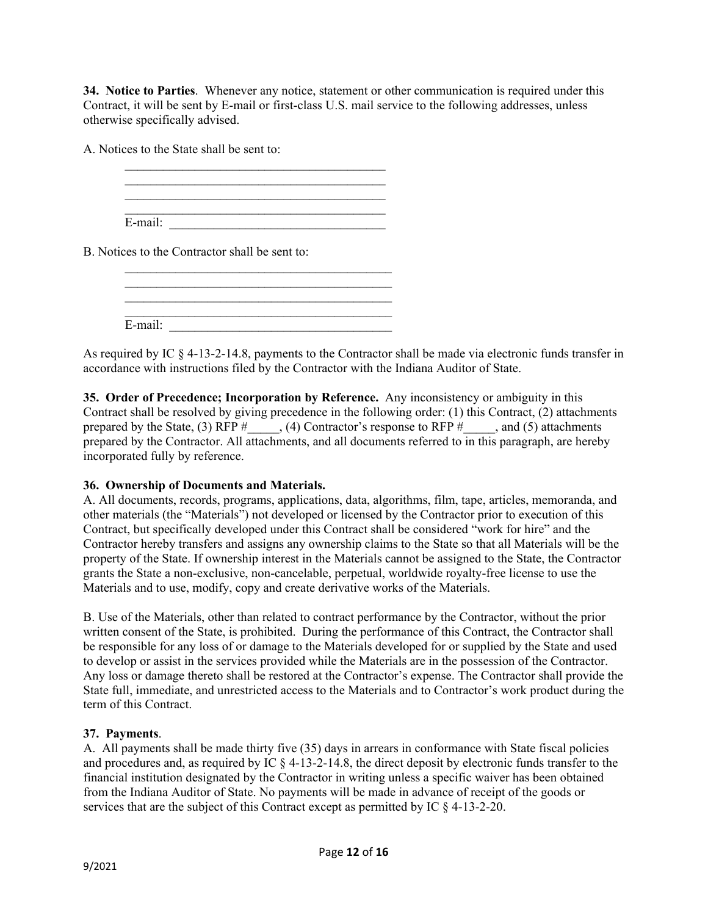**34. Notice to Parties**. Whenever any notice, statement or other communication is required under this Contract, it will be sent by E-mail or first-class U.S. mail service to the following addresses, unless otherwise specifically advised.

A. Notices to the State shall be sent to:

 $\mathcal{L}_\text{max}$  , where  $\mathcal{L}_\text{max}$  and  $\mathcal{L}_\text{max}$  and  $\mathcal{L}_\text{max}$  $\overline{\phantom{a}}$  , and the contract of the contract of the contract of the contract of the contract of the contract of the contract of the contract of the contract of the contract of the contract of the contract of the contrac  $\_$  $E$ -mail:  $\qquad \qquad$ 

 $\mathcal{L}_\text{max}$  and  $\mathcal{L}_\text{max}$  and  $\mathcal{L}_\text{max}$  and  $\mathcal{L}_\text{max}$ 

B. Notices to the Contractor shall be sent to:

| E-mail: |  |  |
|---------|--|--|

As required by IC § 4-13-2-14.8, payments to the Contractor shall be made via electronic funds transfer in accordance with instructions filed by the Contractor with the Indiana Auditor of State.

**35. Order of Precedence; Incorporation by Reference.** Any inconsistency or ambiguity in this Contract shall be resolved by giving precedence in the following order: (1) this Contract, (2) attachments prepared by the State, (3) RFP  $\#$ , (4) Contractor's response to RFP  $\#$ , and (5) attachments prepared by the Contractor. All attachments, and all documents referred to in this paragraph, are hereby incorporated fully by reference.

### **36. Ownership of Documents and Materials.**

A. All documents, records, programs, applications, data, algorithms, film, tape, articles, memoranda, and other materials (the "Materials") not developed or licensed by the Contractor prior to execution of this Contract, but specifically developed under this Contract shall be considered "work for hire" and the Contractor hereby transfers and assigns any ownership claims to the State so that all Materials will be the property of the State. If ownership interest in the Materials cannot be assigned to the State, the Contractor grants the State a non-exclusive, non-cancelable, perpetual, worldwide royalty-free license to use the Materials and to use, modify, copy and create derivative works of the Materials.

B. Use of the Materials, other than related to contract performance by the Contractor, without the prior written consent of the State, is prohibited. During the performance of this Contract, the Contractor shall be responsible for any loss of or damage to the Materials developed for or supplied by the State and used to develop or assist in the services provided while the Materials are in the possession of the Contractor. Any loss or damage thereto shall be restored at the Contractor's expense. The Contractor shall provide the State full, immediate, and unrestricted access to the Materials and to Contractor's work product during the term of this Contract.

#### **37. Payments**.

A. All payments shall be made thirty five (35) days in arrears in conformance with State fiscal policies and procedures and, as required by IC § 4-13-2-14.8, the direct deposit by electronic funds transfer to the financial institution designated by the Contractor in writing unless a specific waiver has been obtained from the Indiana Auditor of State. No payments will be made in advance of receipt of the goods or services that are the subject of this Contract except as permitted by IC § 4-13-2-20.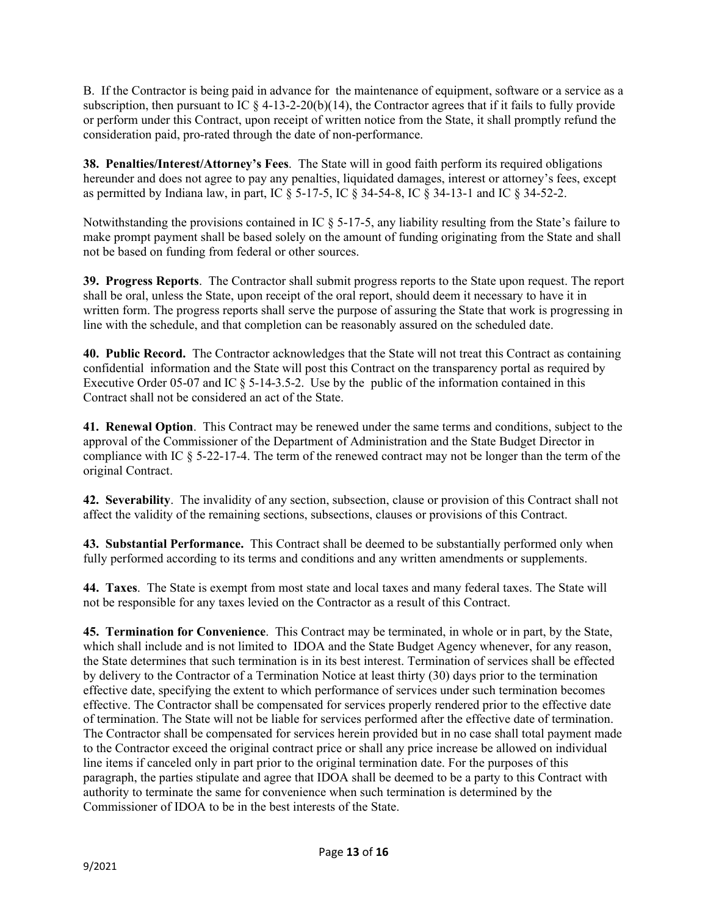B. If the Contractor is being paid in advance for the maintenance of equipment, software or a service as a subscription, then pursuant to IC  $\S$  4-13-2-20(b)(14), the Contractor agrees that if it fails to fully provide or perform under this Contract, upon receipt of written notice from the State, it shall promptly refund the consideration paid, pro-rated through the date of non-performance.

**38. Penalties/Interest/Attorney's Fees**. The State will in good faith perform its required obligations hereunder and does not agree to pay any penalties, liquidated damages, interest or attorney's fees, except as permitted by Indiana law, in part, IC  $\S$  5-17-5, IC  $\S$  34-54-8, IC  $\S$  34-13-1 and IC  $\S$  34-52-2.

Notwithstanding the provisions contained in IC § 5-17-5, any liability resulting from the State's failure to make prompt payment shall be based solely on the amount of funding originating from the State and shall not be based on funding from federal or other sources.

**39. Progress Reports**. The Contractor shall submit progress reports to the State upon request. The report shall be oral, unless the State, upon receipt of the oral report, should deem it necessary to have it in written form. The progress reports shall serve the purpose of assuring the State that work is progressing in line with the schedule, and that completion can be reasonably assured on the scheduled date.

**40. Public Record.** The Contractor acknowledges that the State will not treat this Contract as containing confidential information and the State will post this Contract on the transparency portal as required by Executive Order 05-07 and IC § 5-14-3.5-2. Use by the public of the information contained in this Contract shall not be considered an act of the State.

**41. Renewal Option**. This Contract may be renewed under the same terms and conditions, subject to the approval of the Commissioner of the Department of Administration and the State Budget Director in compliance with IC § 5-22-17-4. The term of the renewed contract may not be longer than the term of the original Contract.

**42. Severability**. The invalidity of any section, subsection, clause or provision of this Contract shall not affect the validity of the remaining sections, subsections, clauses or provisions of this Contract.

**43. Substantial Performance.** This Contract shall be deemed to be substantially performed only when fully performed according to its terms and conditions and any written amendments or supplements.

**44. Taxes**. The State is exempt from most state and local taxes and many federal taxes. The State will not be responsible for any taxes levied on the Contractor as a result of this Contract.

**45. Termination for Convenience**. This Contract may be terminated, in whole or in part, by the State, which shall include and is not limited to IDOA and the State Budget Agency whenever, for any reason, the State determines that such termination is in its best interest. Termination of services shall be effected by delivery to the Contractor of a Termination Notice at least thirty (30) days prior to the termination effective date, specifying the extent to which performance of services under such termination becomes effective. The Contractor shall be compensated for services properly rendered prior to the effective date of termination. The State will not be liable for services performed after the effective date of termination. The Contractor shall be compensated for services herein provided but in no case shall total payment made to the Contractor exceed the original contract price or shall any price increase be allowed on individual line items if canceled only in part prior to the original termination date. For the purposes of this paragraph, the parties stipulate and agree that IDOA shall be deemed to be a party to this Contract with authority to terminate the same for convenience when such termination is determined by the Commissioner of IDOA to be in the best interests of the State.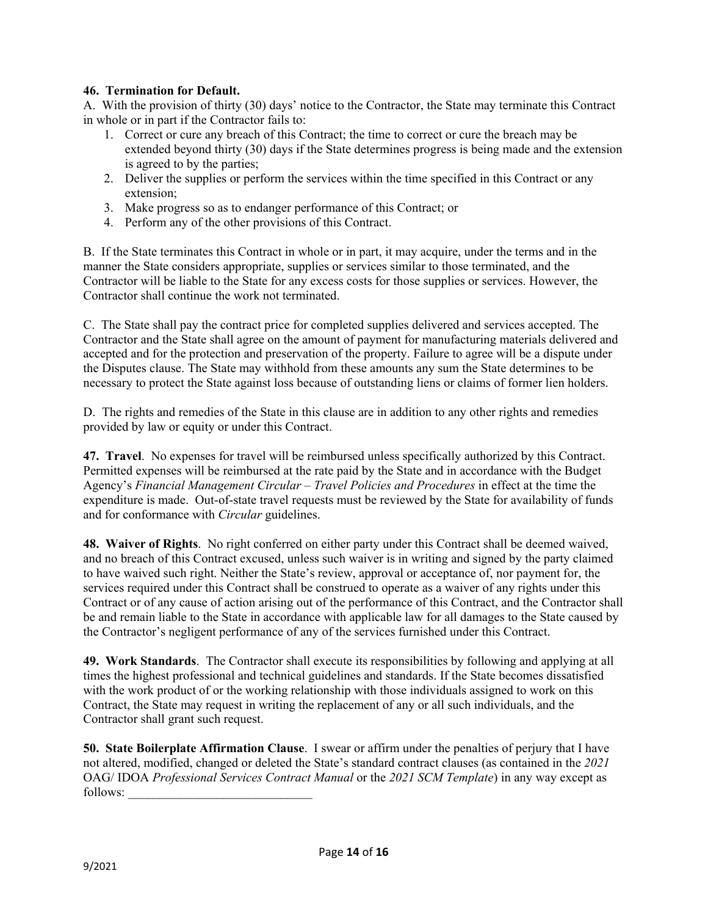#### **46. Termination for Default.**

A. With the provision of thirty (30) days' notice to the Contractor, the State may terminate this Contract in whole or in part if the Contractor fails to:

- 1. Correct or cure any breach of this Contract; the time to correct or cure the breach may be extended beyond thirty (30) days if the State determines progress is being made and the extension is agreed to by the parties;
- 2. Deliver the supplies or perform the services within the time specified in this Contract or any extension;
- 3. Make progress so as to endanger performance of this Contract; or
- 4. Perform any of the other provisions of this Contract.

B. If the State terminates this Contract in whole or in part, it may acquire, under the terms and in the manner the State considers appropriate, supplies or services similar to those terminated, and the Contractor will be liable to the State for any excess costs for those supplies or services. However, the Contractor shall continue the work not terminated.

C. The State shall pay the contract price for completed supplies delivered and services accepted. The Contractor and the State shall agree on the amount of payment for manufacturing materials delivered and accepted and for the protection and preservation of the property. Failure to agree will be a dispute under the Disputes clause. The State may withhold from these amounts any sum the State determines to be necessary to protect the State against loss because of outstanding liens or claims of former lien holders.

D. The rights and remedies of the State in this clause are in addition to any other rights and remedies provided by law or equity or under this Contract.

**47. Travel**. No expenses for travel will be reimbursed unless specifically authorized by this Contract. Permitted expenses will be reimbursed at the rate paid by the State and in accordance with the Budget Agency's *Financial Management Circular – Travel Policies and Procedures* in effect at the time the expenditure is made. Out-of-state travel requests must be reviewed by the State for availability of funds and for conformance with *Circular* guidelines.

**48. Waiver of Rights**. No right conferred on either party under this Contract shall be deemed waived, and no breach of this Contract excused, unless such waiver is in writing and signed by the party claimed to have waived such right. Neither the State's review, approval or acceptance of, nor payment for, the services required under this Contract shall be construed to operate as a waiver of any rights under this Contract or of any cause of action arising out of the performance of this Contract, and the Contractor shall be and remain liable to the State in accordance with applicable law for all damages to the State caused by the Contractor's negligent performance of any of the services furnished under this Contract.

**49. Work Standards**. The Contractor shall execute its responsibilities by following and applying at all times the highest professional and technical guidelines and standards. If the State becomes dissatisfied with the work product of or the working relationship with those individuals assigned to work on this Contract, the State may request in writing the replacement of any or all such individuals, and the Contractor shall grant such request.

**50. State Boilerplate Affirmation Clause**. I swear or affirm under the penalties of perjury that I have not altered, modified, changed or deleted the State's standard contract clauses (as contained in the *2021* OAG/ IDOA *Professional Services Contract Manual* or the *2021 SCM Template*) in any way except as follows: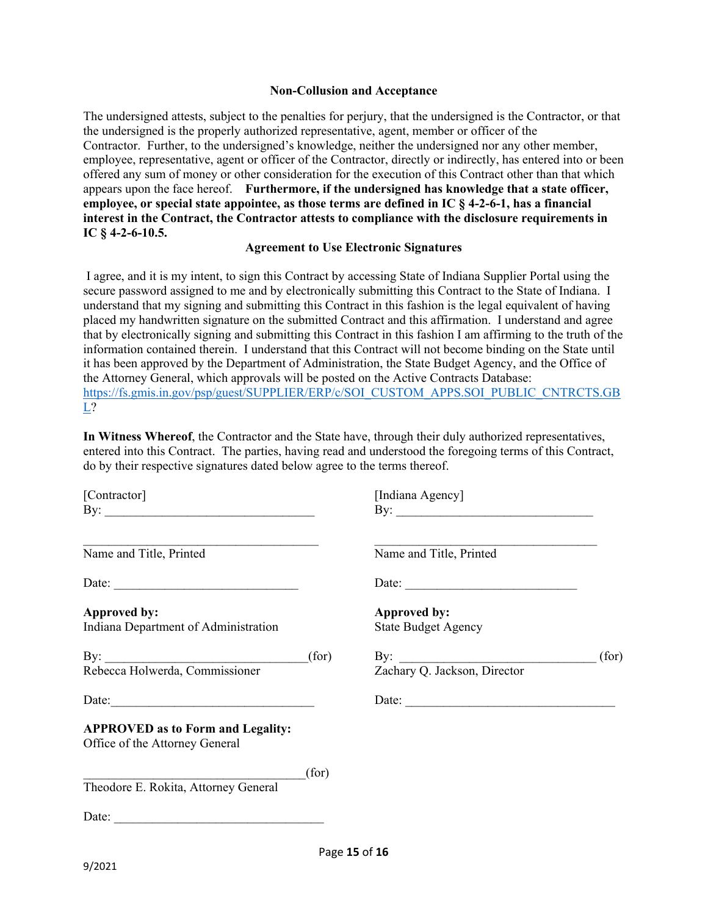#### **Non-Collusion and Acceptance**

The undersigned attests, subject to the penalties for perjury, that the undersigned is the Contractor, or that the undersigned is the properly authorized representative, agent, member or officer of the Contractor. Further, to the undersigned's knowledge, neither the undersigned nor any other member, employee, representative, agent or officer of the Contractor, directly or indirectly, has entered into or been offered any sum of money or other consideration for the execution of this Contract other than that which appears upon the face hereof. **Furthermore, if the undersigned has knowledge that a state officer, employee, or special state appointee, as those terms are defined in IC § 4-2-6-1, has a financial interest in the Contract, the Contractor attests to compliance with the disclosure requirements in IC § 4-2-6-10.5.**

#### **Agreement to Use Electronic Signatures**

I agree, and it is my intent, to sign this Contract by accessing State of Indiana Supplier Portal using the secure password assigned to me and by electronically submitting this Contract to the State of Indiana. I understand that my signing and submitting this Contract in this fashion is the legal equivalent of having placed my handwritten signature on the submitted Contract and this affirmation. I understand and agree that by electronically signing and submitting this Contract in this fashion I am affirming to the truth of the information contained therein. I understand that this Contract will not become binding on the State until it has been approved by the Department of Administration, the State Budget Agency, and the Office of the Attorney General, which approvals will be posted on the Active Contracts Database: [https://fs.gmis.in.gov/psp/guest/SUPPLIER/ERP/c/SOI\\_CUSTOM\\_APPS.SOI\\_PUBLIC\\_CNTRCTS.GB](https://fs.gmis.in.gov/psp/guest/SUPPLIER/ERP/c/SOI_CUSTOM_APPS.SOI_PUBLIC_CNTRCTS.GBL) [L?](https://fs.gmis.in.gov/psp/guest/SUPPLIER/ERP/c/SOI_CUSTOM_APPS.SOI_PUBLIC_CNTRCTS.GBL)

**In Witness Whereof**, the Contractor and the State have, through their duly authorized representatives, entered into this Contract. The parties, having read and understood the foregoing terms of this Contract, do by their respective signatures dated below agree to the terms thereof.

[Contractor] [Indiana Agency] By: \_\_\_\_\_\_\_\_\_\_\_\_\_\_\_\_\_\_\_\_\_\_\_\_\_\_\_\_\_\_\_\_\_ By: \_\_\_\_\_\_\_\_\_\_\_\_\_\_\_\_\_\_\_\_\_\_\_\_\_\_\_\_\_\_\_

\_\_\_\_\_\_\_\_\_\_\_\_\_\_\_\_\_\_\_\_\_\_\_\_\_\_\_\_\_\_\_\_\_\_\_\_\_ \_\_\_\_\_\_\_\_\_\_\_\_\_\_\_\_\_\_\_\_\_\_\_\_\_\_\_\_\_\_\_\_\_\_\_ Name and Title, Printed Name and Title, Printed

Approved by: **Approved by:** Approved by:

Indiana Department of Administration State Budget Agency

By: \_\_\_\_\_\_\_\_\_\_\_\_\_\_\_\_\_\_\_\_\_\_\_\_\_\_\_\_\_\_\_\_(for) By: \_\_\_\_\_\_\_\_\_\_\_\_\_\_\_\_\_\_\_\_\_\_\_\_\_\_\_\_\_\_\_ (for)

### **APPROVED as to Form and Legality:**

Office of the Attorney General

 $_{\rm (for)}$ 

Theodore E. Rokita, Attorney General

Date:

Page **15** of **16**

9/2021

Date: <u>Date:</u> 2002. Contract the contract of the contract of the contract of the contract of the contract of the contract of the contract of the contract of the contract of the contract of the contract of the contract of t

Zachary Q. Jackson, Director

Date:\_\_\_\_\_\_\_\_\_\_\_\_\_\_\_\_\_\_\_\_\_\_\_\_\_\_\_\_\_\_\_\_ Date: \_\_\_\_\_\_\_\_\_\_\_\_\_\_\_\_\_\_\_\_\_\_\_\_\_\_\_\_\_\_\_\_\_